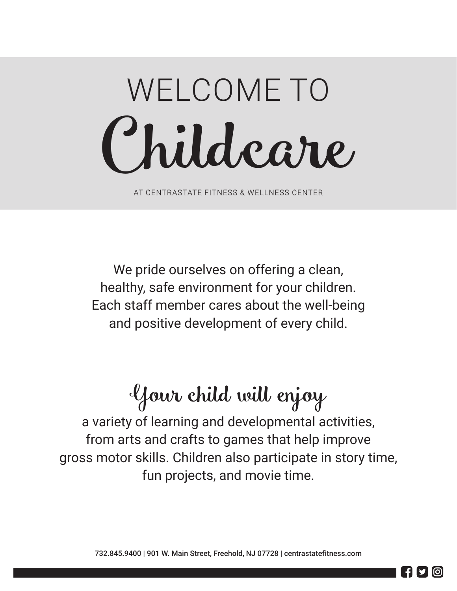# Child care WELCOME TO

AT CENTRASTATE FITNESS & WELLNESS CENTER

We pride ourselves on offering a clean, healthy, safe environment for your children. Each staff member cares about the well-being and positive development of every child.

## Your child will enjoy

a variety of learning and developmental activities, from arts and crafts to games that help improve gross motor skills. Children also participate in story time, fun projects, and movie time.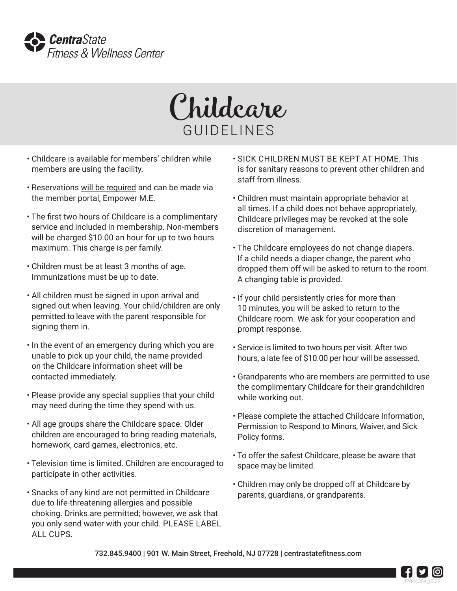



- Childcare is available for members' children while members are using the facility.
- Reservations will be required and can be made via the member portal, Empower M.E.
- The first two hours of Childcare is a complimentary service and included in membership. Non-members will be charged \$10.00 an hour for up to two hours maximum. This charge is per family.
- Children must be at least 3 months of age. Immunizations must be up to date.
- All children must be signed in upon arrival and signed out when leaving. Your child/children are only permitted to leave with the parent responsible for signing them in.
- In the event of an emergency during which you are unable to pick up your child, the name provided on the Childcare information sheet will be contacted immediately.
- Please provide any special supplies that your child may need during the time they spend with us.
- All age groups share the Childcare space. Older children are encouraged to bring reading materials, homework, card games, electronics, etc.
- Television time is limited. Children are encouraged to participate in other activities.
- Snacks of any kind are not permitted in Childcare due to life-threatening allergies and possible choking. Drinks are permitted; however, we ask that you only send water with your child. PLEASE LABEL ALL CUPS.
- SICK CHILDREN MUST BE KEPT AT HOME. This is for sanitary reasons to prevent other children and staff from illness.
- Children must maintain appropriate behavior at all times. If a child does not behave appropriately, Childcare privileges may be revoked at the sole discretion of management.
- The Childcare employees do not change diapers. If a child needs a diaper change, the parent who dropped them off will be asked to return to the room. A changing table is provided.
- If your child persistently cries for more than 10 minutes, you will be asked to return to the Childcare room. We ask for your cooperation and prompt response.
- Service is limited to two hours per visit. After two hours, a late fee of \$10.00 per hour will be assessed.
- Grandparents who are members are permitted to use the complimentary Childcare for their grandchildren while working out.
- Please complete the attached Childcare Information, Permission to Respond to Minors, Waiver, and Sick Policy forms.
- To offer the safest Childcare, please be aware that space may be limited.
- Children may only be dropped off at Childcare by parents, guardians, or grandparents.

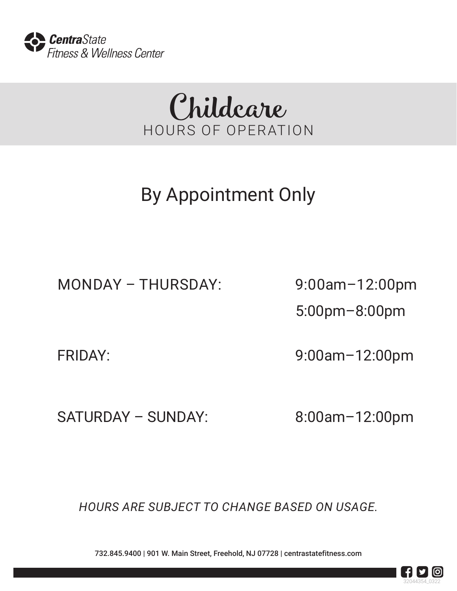



## By Appointment Only

MONDAY – THURSDAY: 9:00am–12:00pm

5:00pm–8:00pm

FRIDAY: 9:00am–12:00pm

SATURDAY – SUNDAY: 8:00am-12:00pm

*HOURS ARE SUBJECT TO CHANGE BASED ON USAGE.*

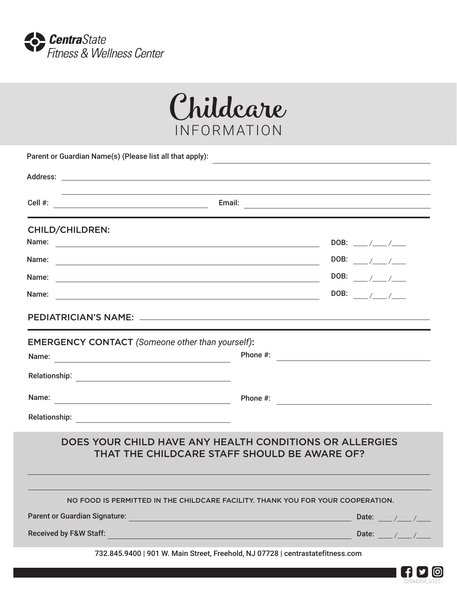



| Parent or Guardian Name(s) (Please list all that apply):                                                                                                  |                                                                                                                      |  |  |  |  |
|-----------------------------------------------------------------------------------------------------------------------------------------------------------|----------------------------------------------------------------------------------------------------------------------|--|--|--|--|
|                                                                                                                                                           |                                                                                                                      |  |  |  |  |
|                                                                                                                                                           | Email: <u>Alexander and Alexander and Alexander and Alexander and Alexander and Alexander and Alexander and Alex</u> |  |  |  |  |
| <b>CHILD/CHILDREN:</b>                                                                                                                                    |                                                                                                                      |  |  |  |  |
| Name:<br><u> 1989 - Johann Harry Harry Harry Harry Harry Harry Harry Harry Harry Harry Harry Harry Harry Harry Harry Harry</u>                            | DOB: ___/__/___                                                                                                      |  |  |  |  |
| Name:                                                                                                                                                     | DOB: $\frac{1}{2}$                                                                                                   |  |  |  |  |
| Name:                                                                                                                                                     |                                                                                                                      |  |  |  |  |
| Name:<br><u> 1980 - Johann Barbara, martxa alemaniar argametra (h. 1980).</u>                                                                             | DOB: $\sqrt{7}$                                                                                                      |  |  |  |  |
|                                                                                                                                                           |                                                                                                                      |  |  |  |  |
| <b>EMERGENCY CONTACT</b> (Someone other than yourself):<br><u> 1989 - Johann Barnett, fransk politiker (</u><br>Name:                                     | Phone #: $\qquad \qquad$                                                                                             |  |  |  |  |
|                                                                                                                                                           |                                                                                                                      |  |  |  |  |
|                                                                                                                                                           | Phone #: $\qquad \qquad$                                                                                             |  |  |  |  |
|                                                                                                                                                           |                                                                                                                      |  |  |  |  |
| DOES YOUR CHILD HAVE ANY HEALTH CONDITIONS OR ALLERGIES<br>THAT THE CHILDCARE STAFF SHOULD BE AWARE OF?                                                   |                                                                                                                      |  |  |  |  |
|                                                                                                                                                           | NO FOOD IS PERMITTED IN THE CHILDCARE FACILITY. THANK YOU FOR YOUR COOPERATION.                                      |  |  |  |  |
| <b>Parent or Guardian Signature:</b><br><u> 1989 - Johann Barn, mars eta biztanleria (</u>                                                                | Date: $\frac{1}{\sqrt{2}}$                                                                                           |  |  |  |  |
| <b>Received by F&amp;W Staff:</b><br><u> 1989 - Johann Stein, marwolaethau a bhann an t-Amhain an t-Amhain an t-Amhain an t-Amhain an t-Amhain an t-A</u> | Date: $\frac{1}{2}$ /                                                                                                |  |  |  |  |
|                                                                                                                                                           | 732.845.9400   901 W. Main Street, Freehold, NJ 07728   centrastatefitness.com                                       |  |  |  |  |

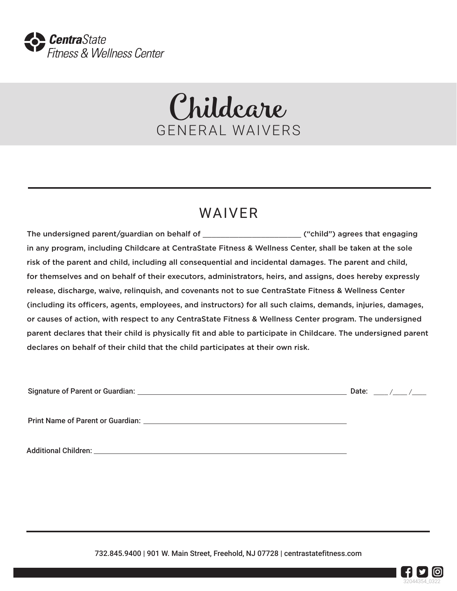

## Childcare GENERAL WAIVERS

### WAIVER

The undersigned parent/guardian on behalf of \_\_\_\_\_\_\_\_\_\_\_\_\_\_\_\_\_\_\_\_\_\_ ("child") agrees that engaging in any program, including Childcare at CentraState Fitness & Wellness Center, shall be taken at the sole risk of the parent and child, including all consequential and incidental damages. The parent and child, for themselves and on behalf of their executors, administrators, heirs, and assigns, does hereby expressly release, discharge, waive, relinquish, and covenants not to sue CentraState Fitness & Wellness Center (including its officers, agents, employees, and instructors) for all such claims, demands, injuries, damages, or causes of action, with respect to any CentraState Fitness & Wellness Center program. The undersigned parent declares that their child is physically fit and able to participate in Childcare. The undersigned parent declares on behalf of their child that the child participates at their own risk.

| <b>Signature of Parent or Guardian:</b> |  |
|-----------------------------------------|--|
|-----------------------------------------|--|

 $\Box$  Date:  $\Box$  /  $\Box$  /

Print Name of Parent or Guardian:

Additional Children:

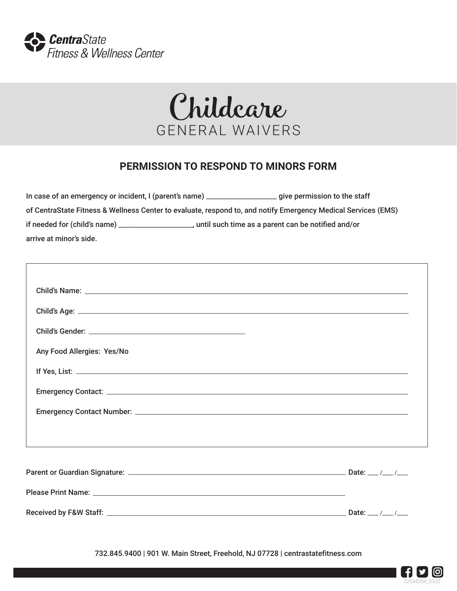

Г



#### **PERMISSION TO RESPOND TO MINORS FORM**

| In case of an emergency or incident, I (parent's name) _________________________                              | give permission to the staff                         |  |  |  |  |
|---------------------------------------------------------------------------------------------------------------|------------------------------------------------------|--|--|--|--|
| of CentraState Fitness & Wellness Center to evaluate, respond to, and notify Emergency Medical Services (EMS) |                                                      |  |  |  |  |
| if needed for (child's name).                                                                                 | , until such time as a parent can be notified and/or |  |  |  |  |
| arrive at minor's side.                                                                                       |                                                      |  |  |  |  |

| Any Food Allergies: Yes/No |  |
|----------------------------|--|
|                            |  |
|                            |  |
|                            |  |
|                            |  |
|                            |  |
|                            |  |
|                            |  |
|                            |  |